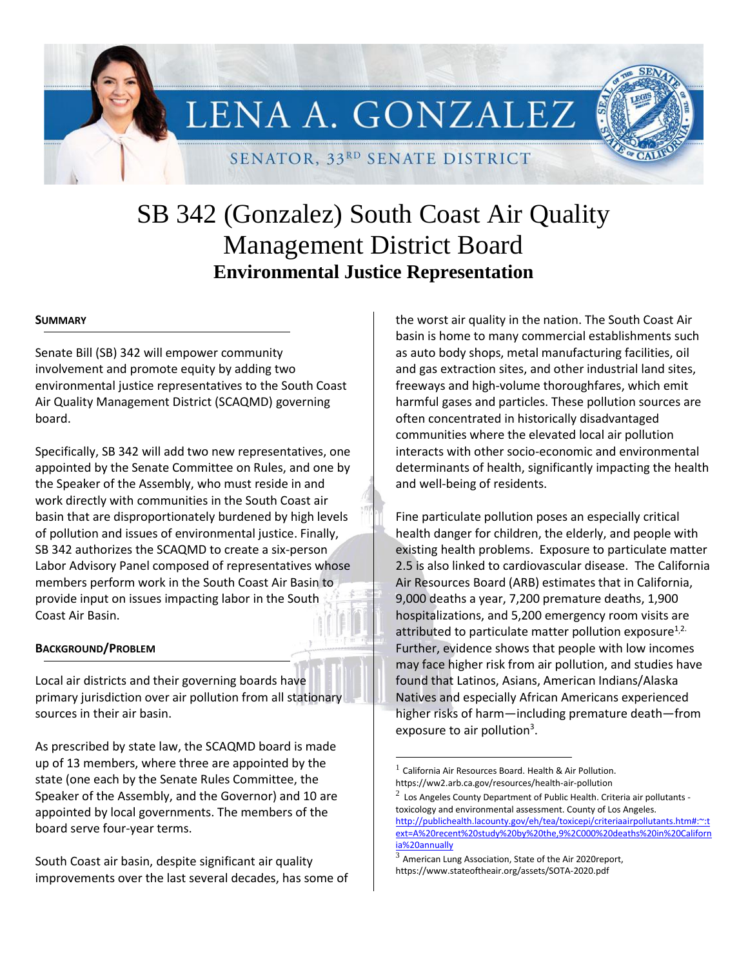# LENA A. GONZALEZ

SENATOR, 33RD SENATE DISTRICT

# SB 342 (Gonzalez) South Coast Air Quality Management District Board **Environmental Justice Representation**

#### **SUMMARY**

Senate Bill (SB) 342 will empower community involvement and promote equity by adding two environmental justice representatives to the South Coast Air Quality Management District (SCAQMD) governing board.

Specifically, SB 342 will add two new representatives, one appointed by the Senate Committee on Rules, and one by the Speaker of the Assembly, who must reside in and work directly with communities in the South Coast air basin that are disproportionately burdened by high levels of pollution and issues of environmental justice. Finally, SB 342 authorizes the SCAQMD to create a six-person Labor Advisory Panel composed of representatives whose members perform work in the South Coast Air Basin to provide input on issues impacting labor in the South Coast Air Basin.

#### **BACKGROUND/PROBLEM**

Local air districts and their governing boards have primary jurisdiction over air pollution from all stationary sources in their air basin.

As prescribed by state law, the SCAQMD board is made up of 13 members, where three are appointed by the state (one each by the Senate Rules Committee, the Speaker of the Assembly, and the Governor) and 10 are appointed by local governments. The members of the board serve four-year terms.

South Coast air basin, despite significant air quality improvements over the last several decades, has some of the worst air quality in the nation. The South Coast Air basin is home to many commercial establishments such as auto body shops, metal manufacturing facilities, oil and gas extraction sites, and other industrial land sites, freeways and high-volume thoroughfares, which emit harmful gases and particles. These pollution sources are often concentrated in historically disadvantaged communities where the elevated local air pollution interacts with other socio-economic and environmental determinants of health, significantly impacting the health and well-being of residents.

Fine particulate pollution poses an especially critical health danger for children, the elderly, and people with existing health problems. Exposure to particulate matter 2.5 is also linked to cardiovascular disease. The California Air Resources Board (ARB) estimates that in California, 9,000 deaths a year, 7,200 premature deaths, 1,900 hospitalizations, and 5,200 emergency room visits are attributed to particulate matter pollution exposure<sup>1,2.</sup> Further, evidence shows that people with low incomes may face higher risk from air pollution, and studies have found that Latinos, Asians, American Indians/Alaska Natives and especially African Americans experienced higher risks of harm—including premature death—from exposure to air pollution<sup>3</sup>.

 $\overline{a}$ 

 $<sup>1</sup>$  California Air Resources Board. Health & Air Pollution.</sup> https://ww2.arb.ca.gov/resources/health-air-pollution

 $^2$  Los Angeles County Department of Public Health. Criteria air pollutants toxicology and environmental assessment. County of Los Angeles.

[http://publichealth.lacounty.gov/eh/tea/toxicepi/criteriaairpollutants.htm#:~:t](http://publichealth.lacounty.gov/eh/tea/toxicepi/criteriaairpollutants.htm#:~:text=A%20recent%20study%20by%20the,9%2C000%20deaths%20in%20California%20annually) [ext=A%20recent%20study%20by%20the,9%2C000%20deaths%20in%20Californ](http://publichealth.lacounty.gov/eh/tea/toxicepi/criteriaairpollutants.htm#:~:text=A%20recent%20study%20by%20the,9%2C000%20deaths%20in%20California%20annually) [ia%20annually](http://publichealth.lacounty.gov/eh/tea/toxicepi/criteriaairpollutants.htm#:~:text=A%20recent%20study%20by%20the,9%2C000%20deaths%20in%20California%20annually)

American Lung Association, State of the Air 2020report, https://www.stateoftheair.org/assets/SOTA-2020.pdf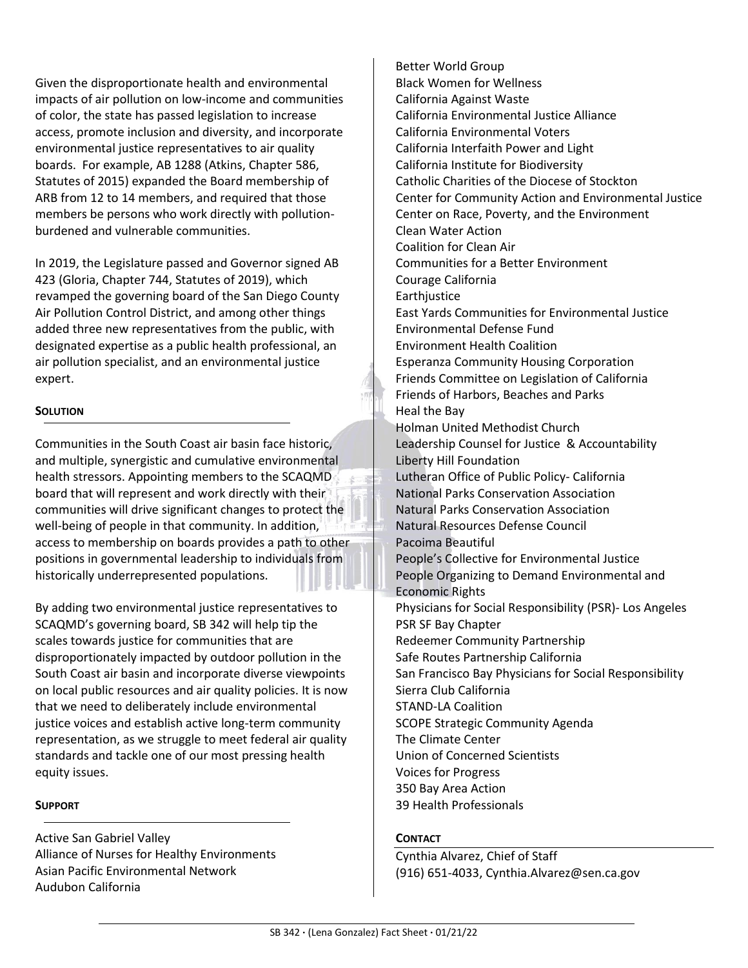Given the disproportionate health and environmental impacts of air pollution on low-income and communities of color, the state has passed legislation to increase access, promote inclusion and diversity, and incorporate environmental justice representatives to air quality boards. For example, AB 1288 (Atkins, Chapter 586, Statutes of 2015) expanded the Board membership of ARB from 12 to 14 members, and required that those members be persons who work directly with pollutionburdened and vulnerable communities.

In 2019, the Legislature passed and Governor signed AB 423 (Gloria, Chapter 744, Statutes of 2019), which revamped the governing board of the San Diego County Air Pollution Control District, and among other things added three new representatives from the public, with designated expertise as a public health professional, an air pollution specialist, and an environmental justice expert.

# **SOLUTION**

Communities in the South Coast air basin face historic, and multiple, synergistic and cumulative environmental health stressors. Appointing members to the SCAQMD board that will represent and work directly with their communities will drive significant changes to protect the well-being of people in that community. In addition, access to membership on boards provides a path to other positions in governmental leadership to individuals from historically underrepresented populations.

By adding two environmental justice representatives to SCAQMD's governing board, SB 342 will help tip the scales towards justice for communities that are disproportionately impacted by outdoor pollution in the South Coast air basin and incorporate diverse viewpoints on local public resources and air quality policies. It is now that we need to deliberately include environmental justice voices and establish active long-term community representation, as we struggle to meet federal air quality standards and tackle one of our most pressing health equity issues.

## **SUPPORT**

Active San Gabriel Valley Alliance of Nurses for Healthy Environments Asian Pacific Environmental Network Audubon California

Better World Group Black Women for Wellness California Against Waste California Environmental Justice Alliance California Environmental Voters California Interfaith Power and Light California Institute for Biodiversity Catholic Charities of the Diocese of Stockton Center for Community Action and Environmental Justice Center on Race, Poverty, and the Environment Clean Water Action Coalition for Clean Air Communities for a Better Environment Courage California **Earthjustice** East Yards Communities for Environmental Justice Environmental Defense Fund Environment Health Coalition Esperanza Community Housing Corporation Friends Committee on Legislation of California Friends of Harbors, Beaches and Parks Heal the Bay Holman United Methodist Church Leadership Counsel for Justice & Accountability Liberty Hill Foundation Lutheran Office of Public Policy- California National Parks Conservation Association Natural Parks Conservation Association Natural Resources Defense Council Pacoima Beautiful People's Collective for Environmental Justice People Organizing to Demand Environmental and Economic Rights Physicians for Social Responsibility (PSR)- Los Angeles PSR SF Bay Chapter Redeemer Community Partnership Safe Routes Partnership California San Francisco Bay Physicians for Social Responsibility Sierra Club California STAND-LA Coalition SCOPE Strategic Community Agenda The Climate Center Union of Concerned Scientists Voices for Progress 350 Bay Area Action 39 Health Professionals

## **CONTACT**

Cynthia Alvarez, Chief of Staff (916) 651-4033, Cynthia.Alvarez@sen.ca.gov